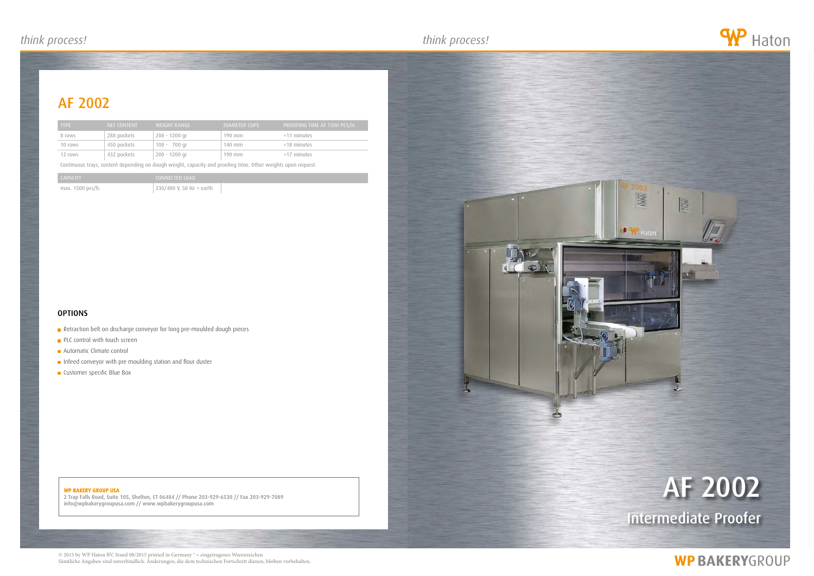2 Trap Falls Road, Suite 105, Shelton, CT 06484 // Phone 203-929-6530 // Fax 203-929-7089 info@wpbakerygroupusa.com // www.wpbakerygroupusa.com

# af 2002

## **WP BAKERYGROUP**





## af 2002

| <b>TYPE</b> | NET CONTENT | WEIGHT RANGE   | DIAMETER CUPS | PROOFING TIME AT 1500 PCS/H. ' |
|-------------|-------------|----------------|---------------|--------------------------------|
| 8 rows      | 288 pockets | 200 - 1200 gr  | $190$ mm      | <11 minutes                    |
| 10 rows     | 450 pockets | $100 - 700$ gr | 140 mm        | <18 minutes                    |
| 12 rows     | 432 pockets | 200 - 1200 gr  | $190$ mm      | <17 minutes                    |

Continuous trays, content depending on dough weight, capacity and proofing time. Other weights upon request.

| CAPACITY         | CONNECTED LOAD           |  |
|------------------|--------------------------|--|
| max. 1500 pcs/h. | 230/400 V, 50 Hz + earth |  |

### **OPTIONS**

- Retraction belt on discharge conveyor for long pre-moulded dough pieces
- **PLC control with touch screen**
- **Automatic Climate control**
- Infeed conveyor with pre moulding station and flour duster
- **Customer specific Blue Box**

### WP BAKERY GROUP USA